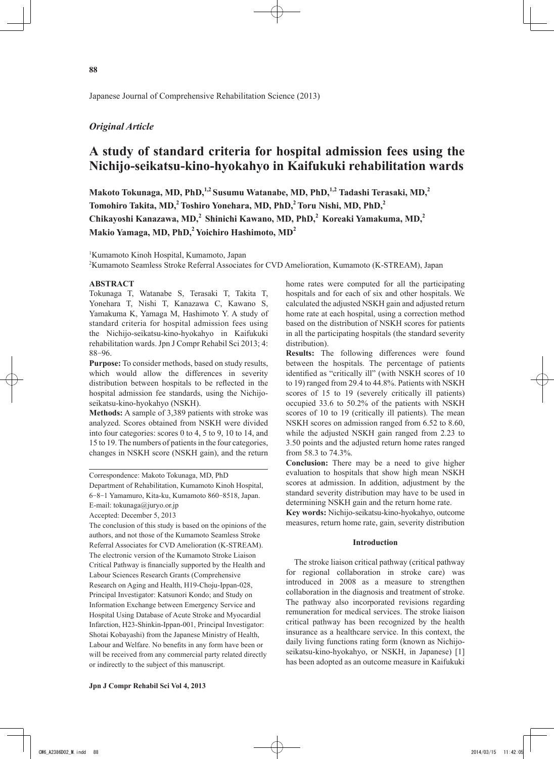Japanese Journal of Comprehensive Rehabilitation Science (2013)

# *Original Article*

# **A study of standard criteria for hospital admission fees using the Nichijo-seikatsu-kino-hyokahyo in Kaifukuki rehabilitation wards**

**Makoto Tokunaga, MD, PhD,1,2 Susumu Watanabe, MD, PhD,1,2 Tadashi Terasaki, MD,2 Tomohiro Takita, MD,2 Toshiro Yonehara, MD, PhD,2 Toru Nishi, MD, PhD,2 Chikayoshi Kanazawa, MD,<sup>2</sup> Shinichi Kawano, MD, PhD,<sup>2</sup> Koreaki Yamakuma, MD,2 Makio Yamaga, MD, PhD,2 Yoichiro Hashimoto, MD2**

1 Kumamoto Kinoh Hospital, Kumamoto, Japan

2 Kumamoto Seamless Stroke Referral Associates for CVD Amelioration, Kumamoto (K-STREAM), Japan

### **ABSTRACT**

Tokunaga T, Watanabe S, Terasaki T, Takita T, Yonehara T, Nishi T, Kanazawa C, Kawano S, Yamakuma K, Yamaga M, Hashimoto Y. A study of standard criteria for hospital admission fees using the Nichijo-seikatsu-kino-hyokahyo in Kaifukuki rehabilitation wards. Jpn J Compr Rehabil Sci 2013; 4: 88-96.

**Purpose:** To consider methods, based on study results, which would allow the differences in severity distribution between hospitals to be reflected in the hospital admission fee standards, using the Nichijoseikatsu-kino-hyokahyo (NSKH).

**Methods:** A sample of 3,389 patients with stroke was analyzed. Scores obtained from NSKH were divided into four categories: scores 0 to 4, 5 to 9, 10 to 14, and 15 to 19. The numbers of patients in the four categories, changes in NSKH score (NSKH gain), and the return

Correspondence: Makoto Tokunaga, MD, PhD Department of Rehabilitation, Kumamoto Kinoh Hospital,

6-8-1 Yamamuro, Kita-ku, Kumamoto 860-8518, Japan. E-mail: tokunaga@juryo.or.jp

Accepted: December 5, 2013

The conclusion of this study is based on the opinions of the authors, and not those of the Kumamoto Seamless Stroke Referral Associates for CVD Amelioration (K-STREAM). The electronic version of the Kumamoto Stroke Liaison Critical Pathway is financially supported by the Health and Labour Sciences Research Grants (Comprehensive Research on Aging and Health, H19-Choju-Ippan-028, Principal Investigator: Katsunori Kondo; and Study on Information Exchange between Emergency Service and Hospital Using Database of Acute Stroke and Myocardial Infarction, H23-Shinkin-Ippan-001, Principal Investigator: Shotai Kobayashi) from the Japanese Ministry of Health, Labour and Welfare. No benefits in any form have been or will be received from any commercial party related directly or indirectly to the subject of this manuscript.

home rates were computed for all the participating hospitals and for each of six and other hospitals. We calculated the adjusted NSKH gain and adjusted return home rate at each hospital, using a correction method based on the distribution of NSKH scores for patients in all the participating hospitals (the standard severity distribution).

**Results:** The following differences were found between the hospitals. The percentage of patients identified as "critically ill" (with NSKH scores of 10 to 19) ranged from 29.4 to 44.8%. Patients with NSKH scores of 15 to 19 (severely critically ill patients) occupied 33.6 to 50.2% of the patients with NSKH scores of 10 to 19 (critically ill patients). The mean NSKH scores on admission ranged from 6.52 to 8.60, while the adjusted NSKH gain ranged from 2.23 to 3.50 points and the adjusted return home rates ranged from 58.3 to 74.3%.

**Conclusion:** There may be a need to give higher evaluation to hospitals that show high mean NSKH scores at admission. In addition, adjustment by the standard severity distribution may have to be used in determining NSKH gain and the return home rate.

**Key words:** Nichijo-seikatsu-kino-hyokahyo, outcome measures, return home rate, gain, severity distribution

### **Introduction**

The stroke liaison critical pathway (critical pathway for regional collaboration in stroke care) was introduced in 2008 as a measure to strengthen collaboration in the diagnosis and treatment of stroke. The pathway also incorporated revisions regarding remuneration for medical services. The stroke liaison critical pathway has been recognized by the health insurance as a healthcare service. In this context, the daily living functions rating form (known as Nichijoseikatsu-kino-hyokahyo, or NSKH, in Japanese) [1] has been adopted as an outcome measure in Kaifukuki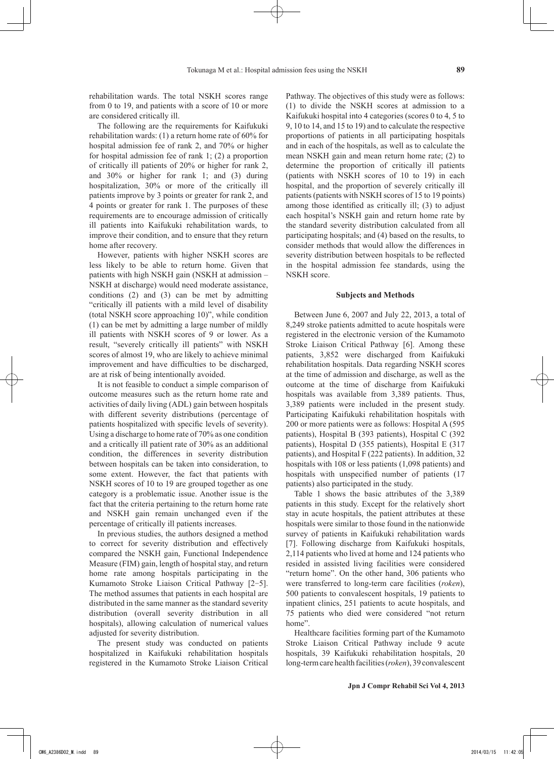rehabilitation wards. The total NSKH scores range from 0 to 19, and patients with a score of 10 or more are considered critically ill.

The following are the requirements for Kaifukuki rehabilitation wards: (1) a return home rate of 60% for hospital admission fee of rank 2, and 70% or higher for hospital admission fee of rank 1; (2) a proportion of critically ill patients of 20% or higher for rank 2, and 30% or higher for rank 1; and (3) during hospitalization, 30% or more of the critically ill patients improve by 3 points or greater for rank 2, and 4 points or greater for rank 1. The purposes of these requirements are to encourage admission of critically ill patients into Kaifukuki rehabilitation wards, to improve their condition, and to ensure that they return home after recovery.

However, patients with higher NSKH scores are less likely to be able to return home. Given that patients with high NSKH gain (NSKH at admission – NSKH at discharge) would need moderate assistance, conditions (2) and (3) can be met by admitting "critically ill patients with a mild level of disability (total NSKH score approaching 10)", while condition (1) can be met by admitting a large number of mildly ill patients with NSKH scores of 9 or lower. As a result, "severely critically ill patients" with NSKH scores of almost 19, who are likely to achieve minimal improvement and have difficulties to be discharged, are at risk of being intentionally avoided.

It is not feasible to conduct a simple comparison of outcome measures such as the return home rate and activities of daily living (ADL) gain between hospitals with different severity distributions (percentage of patients hospitalized with specific levels of severity). Using a discharge to home rate of 70% as one condition and a critically ill patient rate of 30% as an additional condition, the differences in severity distribution between hospitals can be taken into consideration, to some extent. However, the fact that patients with NSKH scores of 10 to 19 are grouped together as one category is a problematic issue. Another issue is the fact that the criteria pertaining to the return home rate and NSKH gain remain unchanged even if the percentage of critically ill patients increases.

In previous studies, the authors designed a method to correct for severity distribution and effectively compared the NSKH gain, Functional Independence Measure (FIM) gain, length of hospital stay, and return home rate among hospitals participating in the Kumamoto Stroke Liaison Critical Pathway [2-5]. The method assumes that patients in each hospital are distributed in the same manner as the standard severity distribution (overall severity distribution in all hospitals), allowing calculation of numerical values adjusted for severity distribution.

The present study was conducted on patients hospitalized in Kaifukuki rehabilitation hospitals registered in the Kumamoto Stroke Liaison Critical Pathway. The objectives of this study were as follows: (1) to divide the NSKH scores at admission to a Kaifukuki hospital into 4 categories (scores 0 to 4, 5 to 9, 10 to 14, and 15 to 19) and to calculate the respective proportions of patients in all participating hospitals and in each of the hospitals, as well as to calculate the mean NSKH gain and mean return home rate; (2) to determine the proportion of critically ill patients (patients with NSKH scores of 10 to 19) in each hospital, and the proportion of severely critically ill patients (patients with NSKH scores of 15 to 19 points) among those identified as critically ill; (3) to adjust each hospital's NSKH gain and return home rate by the standard severity distribution calculated from all participating hospitals; and (4) based on the results, to consider methods that would allow the differences in severity distribution between hospitals to be reflected in the hospital admission fee standards, using the NSKH score.

#### **Subjects and Methods**

Between June 6, 2007 and July 22, 2013, a total of 8,249 stroke patients admitted to acute hospitals were registered in the electronic version of the Kumamoto Stroke Liaison Critical Pathway [6]. Among these patients, 3,852 were discharged from Kaifukuki rehabilitation hospitals. Data regarding NSKH scores at the time of admission and discharge, as well as the outcome at the time of discharge from Kaifukuki hospitals was available from 3,389 patients. Thus, 3,389 patients were included in the present study. Participating Kaifukuki rehabilitation hospitals with 200 or more patients were as follows: Hospital A (595 patients), Hospital B (393 patients), Hospital C (392 patients), Hospital D (355 patients), Hospital E (317 patients), and Hospital F (222 patients). In addition, 32 hospitals with 108 or less patients (1,098 patients) and hospitals with unspecified number of patients (17 patients) also participated in the study.

Table 1 shows the basic attributes of the 3,389 patients in this study. Except for the relatively short stay in acute hospitals, the patient attributes at these hospitals were similar to those found in the nationwide survey of patients in Kaifukuki rehabilitation wards [7]. Following discharge from Kaifukuki hospitals, 2,114 patients who lived at home and 124 patients who resided in assisted living facilities were considered "return home". On the other hand, 306 patients who were transferred to long-term care facilities (*roken*), 500 patients to convalescent hospitals, 19 patients to inpatient clinics, 251 patients to acute hospitals, and 75 patients who died were considered "not return home".

Healthcare facilities forming part of the Kumamoto Stroke Liaison Critical Pathway include 9 acute hospitals, 39 Kaifukuki rehabilitation hospitals, 20 long-term care health facilities (*roken*), 39 convalescent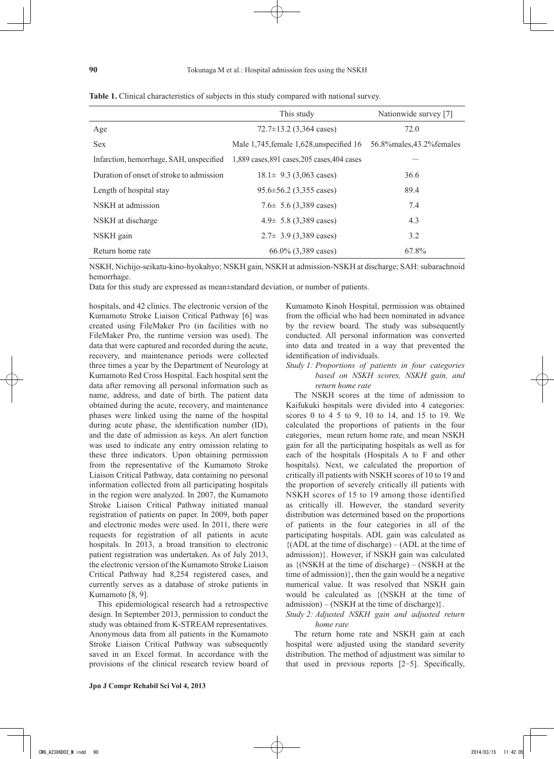|                                          | This study                                   | Nationwide survey [7]      |  |
|------------------------------------------|----------------------------------------------|----------------------------|--|
| Age                                      | $72.7 \pm 13.2$ (3,364 cases)                | 72.0                       |  |
| <b>Sex</b>                               | Male 1,745, female 1,628, unspecified 16     | 56.8% males, 43.2% females |  |
| Infarction, hemorrhage, SAH, unspecified | 1,889 cases, 891 cases, 205 cases, 404 cases |                            |  |
| Duration of onset of stroke to admission | $18.1 \pm 9.3$ (3,063 cases)                 | 36.6                       |  |
| Length of hospital stay                  | $95.6 \pm 56.2$ (3,355 cases)                | 89.4                       |  |
| NSKH at admission                        | 7.6 $\pm$ 5.6 (3,389 cases)                  | 7.4                        |  |
| NSKH at discharge                        | $4.9\pm 5.8$ (3,389 cases)                   | 4.3                        |  |
| NSKH gain                                | $2.7\pm 3.9$ (3,389 cases)                   | 3.2                        |  |
| Return home rate                         | 66.0% (3,389 cases)                          | 67.8%                      |  |

**Table 1.** Clinical characteristics of subjects in this study compared with national survey.

NSKH, Nichijo-seikatu-kino-hyokahyo; NSKH gain, NSKH at admission-NSKH at discharge; SAH: subarachnoid hemorrhage.

Data for this study are expressed as mean±standard deviation, or number of patients.

hospitals, and 42 clinics. The electronic version of the Kumamoto Stroke Liaison Critical Pathway [6] was created using FileMaker Pro (in facilities with no FileMaker Pro, the runtime version was used). The data that were captured and recorded during the acute, recovery, and maintenance periods were collected three times a year by the Department of Neurology at Kumamoto Red Cross Hospital. Each hospital sent the data after removing all personal information such as name, address, and date of birth. The patient data obtained during the acute, recovery, and maintenance phases were linked using the name of the hospital during acute phase, the identification number (ID), and the date of admission as keys. An alert function was used to indicate any entry omission relating to these three indicators. Upon obtaining permission from the representative of the Kumamoto Stroke Liaison Critical Pathway, data containing no personal information collected from all participating hospitals in the region were analyzed. In 2007, the Kumamoto Stroke Liaison Critical Pathway initiated manual registration of patients on paper. In 2009, both paper and electronic modes were used. In 2011, there were requests for registration of all patients in acute hospitals. In 2013, a broad transition to electronic patient registration was undertaken. As of July 2013, the electronic version of the Kumamoto Stroke Liaison Critical Pathway had 8,254 registered cases, and currently serves as a database of stroke patients in Kumamoto [8, 9].

This epidemiological research had a retrospective design. In September 2013, permission to conduct the study was obtained from K-STREAM representatives. Anonymous data from all patients in the Kumamoto Stroke Liaison Critical Pathway was subsequently saved in an Excel format. In accordance with the provisions of the clinical research review board of Kumamoto Kinoh Hospital, permission was obtained from the official who had been nominated in advance by the review board. The study was subsequently conducted. All personal information was converted into data and treated in a way that prevented the identification of individuals.

# *Study 1: Proportions of patients in four categories based on NSKH scores, NSKH gain, and return home rate*

The NSKH scores at the time of admission to Kaifukuki hospitals were divided into 4 categories: scores 0 to 4 5 to 9, 10 to 14, and 15 to 19. We calculated the proportions of patients in the four categories, mean return home rate, and mean NSKH gain for all the participating hospitals as well as for each of the hospitals (Hospitals A to F and other hospitals). Next, we calculated the proportion of critically ill patients with NSKH scores of 10 to 19 and the proportion of severely critically ill patients with NSKH scores of 15 to 19 among those identified as critically ill. However, the standard severity distribution was determined based on the proportions of patients in the four categories in all of the participating hospitals. ADL gain was calculated as  ${(ADL at the time of discharge) - (ADL at the time of) }$ admission)}. However, if NSKH gain was calculated as {(NSKH at the time of discharge) – (NSKH at the time of admission)}, then the gain would be a negative numerical value. It was resolved that NSKH gain would be calculated as {(NSKH at the time of admission) – (NSKH at the time of discharge)}.

# *Study 2: Adjusted NSKH gain and adjusted return home rate*

The return home rate and NSKH gain at each hospital were adjusted using the standard severity distribution. The method of adjustment was similar to that used in previous reports [2-5]. Specifically,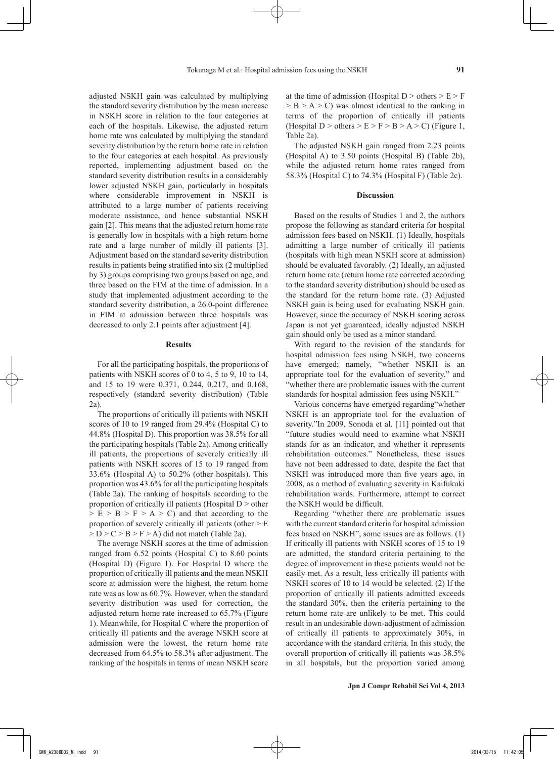adjusted NSKH gain was calculated by multiplying the standard severity distribution by the mean increase in NSKH score in relation to the four categories at each of the hospitals. Likewise, the adjusted return home rate was calculated by multiplying the standard severity distribution by the return home rate in relation to the four categories at each hospital. As previously reported, implementing adjustment based on the standard severity distribution results in a considerably lower adjusted NSKH gain, particularly in hospitals where considerable improvement in NSKH is attributed to a large number of patients receiving moderate assistance, and hence substantial NSKH gain [2]. This means that the adjusted return home rate is generally low in hospitals with a high return home rate and a large number of mildly ill patients [3]. Adjustment based on the standard severity distribution results in patients being stratified into six (2 multiplied by 3) groups comprising two groups based on age, and three based on the FIM at the time of admission. In a study that implemented adjustment according to the standard severity distribution, a 26.0-point difference in FIM at admission between three hospitals was decreased to only 2.1 points after adjustment [4].

### **Results**

For all the participating hospitals, the proportions of patients with NSKH scores of 0 to 4, 5 to 9, 10 to 14, and 15 to 19 were 0.371, 0.244, 0.217, and 0.168, respectively (standard severity distribution) (Table 2a).

The proportions of critically ill patients with NSKH scores of 10 to 19 ranged from 29.4% (Hospital C) to 44.8% (Hospital D). This proportion was 38.5% for all the participating hospitals (Table 2a). Among critically ill patients, the proportions of severely critically ill patients with NSKH scores of 15 to 19 ranged from 33.6% (Hospital A) to 50.2% (other hospitals). This proportion was 43.6% for all the participating hospitals (Table 2a). The ranking of hospitals according to the proportion of critically ill patients (Hospital D > other  $> E > B > F > A > C$ ) and that according to the proportion of severely critically ill patients (other > E  $> D > C > B > F > A$ ) did not match (Table 2a).

The average NSKH scores at the time of admission ranged from 6.52 points (Hospital C) to 8.60 points (Hospital D) (Figure 1). For Hospital D where the proportion of critically ill patients and the mean NSKH score at admission were the highest, the return home rate was as low as 60.7%. However, when the standard severity distribution was used for correction, the adjusted return home rate increased to 65.7% (Figure 1). Meanwhile, for Hospital C where the proportion of critically ill patients and the average NSKH score at admission were the lowest, the return home rate decreased from 64.5% to 58.3% after adjustment. The ranking of the hospitals in terms of mean NSKH score

at the time of admission (Hospital  $D >$  others  $> E > F$  $>$  B  $>$  A  $>$  C) was almost identical to the ranking in terms of the proportion of critically ill patients (Hospital  $D >$  others  $> E > F > B > A > C$ ) (Figure 1, Table 2a).

The adjusted NSKH gain ranged from 2.23 points (Hospital A) to 3.50 points (Hospital B) (Table 2b), while the adjusted return home rates ranged from 58.3% (Hospital C) to 74.3% (Hospital F) (Table 2c).

### **Discussion**

Based on the results of Studies 1 and 2, the authors propose the following as standard criteria for hospital admission fees based on NSKH. (1) Ideally, hospitals admitting a large number of critically ill patients (hospitals with high mean NSKH score at admission) should be evaluated favorably. (2) Ideally, an adjusted return home rate (return home rate corrected according to the standard severity distribution) should be used as the standard for the return home rate. (3) Adjusted NSKH gain is being used for evaluating NSKH gain. However, since the accuracy of NSKH scoring across Japan is not yet guaranteed, ideally adjusted NSKH gain should only be used as a minor standard.

With regard to the revision of the standards for hospital admission fees using NSKH, two concerns have emerged; namely, "whether NSKH is an appropriate tool for the evaluation of severity," and "whether there are problematic issues with the current standards for hospital admission fees using NSKH."

Various concerns have emerged regarding"whether NSKH is an appropriate tool for the evaluation of severity."In 2009, Sonoda et al. [11] pointed out that "future studies would need to examine what NSKH stands for as an indicator, and whether it represents rehabilitation outcomes." Nonetheless, these issues have not been addressed to date, despite the fact that NSKH was introduced more than five years ago, in 2008, as a method of evaluating severity in Kaifukuki rehabilitation wards. Furthermore, attempt to correct the NSKH would be difficult.

Regarding "whether there are problematic issues with the current standard criteria for hospital admission fees based on NSKH", some issues are as follows. (1) If critically ill patients with NSKH scores of 15 to 19 are admitted, the standard criteria pertaining to the degree of improvement in these patients would not be easily met. As a result, less critically ill patients with NSKH scores of 10 to 14 would be selected. (2) If the proportion of critically ill patients admitted exceeds the standard 30%, then the criteria pertaining to the return home rate are unlikely to be met. This could result in an undesirable down-adjustment of admission of critically ill patients to approximately 30%, in accordance with the standard criteria. In this study, the overall proportion of critically ill patients was 38.5% in all hospitals, but the proportion varied among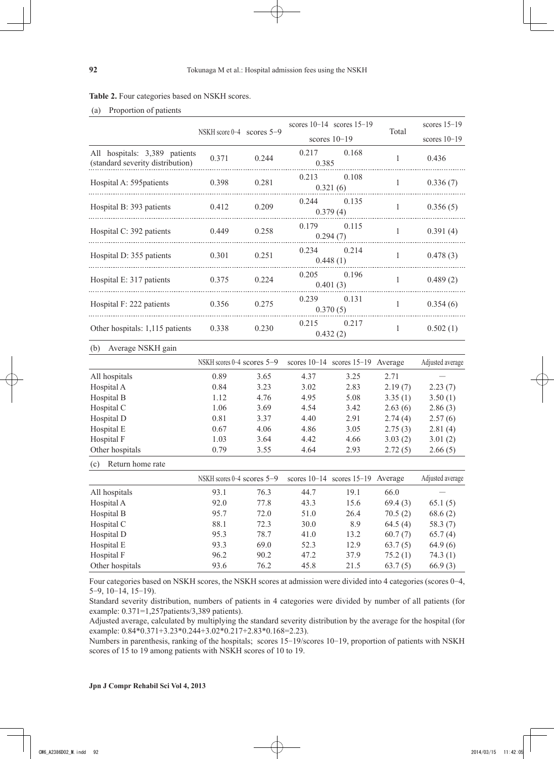## **Table 2.** Four categories based on NSKH scores.

| Proportion of patients<br>(a)                                     |                            |                           |                            |                                       |              |                  |
|-------------------------------------------------------------------|----------------------------|---------------------------|----------------------------|---------------------------------------|--------------|------------------|
|                                                                   |                            | NSKH score 0-4 scores 5-9 |                            | scores $10-14$ scores $15-19$         |              | scores $15-19$   |
|                                                                   |                            |                           | scores $10-19$             |                                       | Total        | scores $10-19$   |
| All hospitals: 3,389 patients<br>(standard severity distribution) | 0.371                      | 0.244                     | 0.217<br>0.385             | 0.168                                 | $\mathbf{1}$ | 0.436            |
| Hospital A: 595 patients                                          | 0.398                      | 0.281                     | 0.213<br>0.108<br>0.321(6) |                                       | $\mathbf{1}$ | 0.336(7)         |
| Hospital B: 393 patients                                          | 0.412                      | 0.209                     | 0.244                      | 0.135<br>0.379(4)                     | $\mathbf{1}$ | 0.356(5)         |
| Hospital C: 392 patients                                          | 0.449                      | 0.258                     | 0.179                      | 0.115<br>0.294(7)                     | $\mathbf{1}$ | 0.391(4)         |
| Hospital D: 355 patients                                          | 0.301                      | 0.251                     | 0.234<br>0.214<br>0.448(1) |                                       | $\mathbf{1}$ | 0.478(3)         |
| Hospital E: 317 patients                                          | 0.375                      | 0.224                     | 0.205                      | 0.196<br>0.401(3)                     | $\mathbf{1}$ | 0.489(2)         |
| Hospital F: 222 patients                                          | 0.356                      | 0.275                     | 0.239                      | 0.131<br>0.370(5)                     | $\mathbf{1}$ | 0.354(6)         |
| Other hospitals: 1,115 patients                                   | 0.338                      | 0.230                     | 0.215                      | 0.217<br>0.432(2)                     | $\mathbf{1}$ | 0.502(1)         |
| Average NSKH gain<br>(b)                                          |                            |                           |                            |                                       |              |                  |
|                                                                   | NSKH scores 0-4 scores 5-9 |                           |                            | scores 10-14 scores 15-19 Average     |              | Adjusted average |
| All hospitals                                                     | 0.89                       | 3.65                      | 4.37                       | 3.25                                  | 2.71         |                  |
| Hospital A                                                        | 0.84                       | 3.23                      | 3.02                       | 2.83                                  | 2.19(7)      | 2.23(7)          |
| Hospital B                                                        | 1.12                       | 4.76                      | 4.95                       | 5.08                                  | 3.35(1)      | 3.50(1)          |
| Hospital C                                                        | 1.06                       | 3.69                      | 4.54                       | 3.42                                  | 2.63(6)      | 2.86(3)          |
| Hospital D                                                        | 0.81                       | 3.37                      | 4.40                       | 2.91                                  | 2.74(4)      | 2.57(6)          |
| Hospital E                                                        | 0.67                       | 4.06                      | 4.86                       | 3.05                                  | 2.75(3)      | 2.81(4)          |
| Hospital F                                                        | 1.03                       | 3.64                      | 4.42                       | 4.66                                  | 3.03(2)      | 3.01(2)          |
| Other hospitals                                                   | 0.79                       | 3.55                      | 4.64                       | 2.93                                  | 2.72(5)      | 2.66(5)          |
| Return home rate<br>(c)                                           |                            |                           |                            |                                       |              |                  |
|                                                                   | NSKH scores 0-4 scores 5-9 |                           |                            | scores $10-14$ scores $15-19$ Average |              | Adjusted average |
| All hospitals                                                     | 93.1                       | 76.3                      | 44.7                       | 19.1                                  | 66.0         |                  |
| Hospital A                                                        | 92.0                       | 77.8                      | 43.3                       | 15.6                                  | 69.4(3)      | 65.1(5)          |
| Hospital B                                                        | 95.7                       | 72.0                      | 51.0                       | 26.4                                  | 70.5(2)      | 68.6(2)          |
| Hospital C                                                        | 88.1                       | 72.3                      | 30.0                       | 8.9                                   | 64.5(4)      | 58.3(7)          |
| Hospital D                                                        | 95.3                       | 78.7                      | 41.0                       | 13.2                                  | 60.7(7)      | 65.7(4)          |
| Hospital E                                                        | 93.3                       | 69.0                      | 52.3                       | 12.9                                  | 63.7(5)      | 64.9(6)          |
| Hospital F                                                        | 96.2                       | 90.2                      | 47.2                       | 37.9                                  | 75.2(1)      | 74.3(1)          |
| Other hospitals                                                   | 93.6                       | 76.2                      | 45.8                       | 21.5                                  | 63.7(5)      | 66.9(3)          |

Four categories based on NSKH scores, the NSKH scores at admission were divided into 4 categories (scores 0-4, 5-9, 10-14, 15-19).

Standard severity distribution, numbers of patients in 4 categories were divided by number of all patients (for example: 0.371=1,257patients/3,389 patients).

Adjusted average, calculated by multiplying the standard severity distribution by the average for the hospital (for example: 0.84\*0.371+3.23\*0.244+3.02\*0.217+2.83\*0.168=2.23).

Numbers in parenthesis, ranking of the hospitals; scores 15-19/scores 10-19, proportion of patients with NSKH scores of 15 to 19 among patients with NSKH scores of 10 to 19.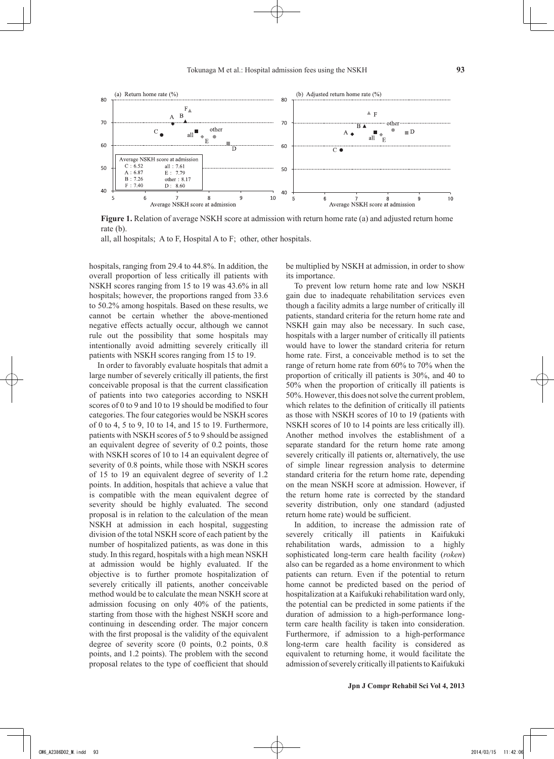

**Figure 1.** Relation of average NSKH score at admission with return home rate (a) and adjusted return home rate (b).

all, all hospitals; A to F, Hospital A to F; other, other hospitals.

hospitals, ranging from 29.4 to 44.8%. In addition, the overall proportion of less critically ill patients with NSKH scores ranging from 15 to 19 was 43.6% in all hospitals; however, the proportions ranged from 33.6 to 50.2% among hospitals. Based on these results, we cannot be certain whether the above-mentioned negative effects actually occur, although we cannot rule out the possibility that some hospitals may intentionally avoid admitting severely critically ill patients with NSKH scores ranging from 15 to 19.

In order to favorably evaluate hospitals that admit a large number of severely critically ill patients, the first conceivable proposal is that the current classification of patients into two categories according to NSKH scores of 0 to 9 and 10 to 19 should be modified to four categories. The four categories would be NSKH scores of 0 to 4, 5 to 9, 10 to 14, and 15 to 19. Furthermore, patients with NSKH scores of 5 to 9 should be assigned an equivalent degree of severity of 0.2 points, those with NSKH scores of 10 to 14 an equivalent degree of severity of 0.8 points, while those with NSKH scores of 15 to 19 an equivalent degree of severity of 1.2 points. In addition, hospitals that achieve a value that is compatible with the mean equivalent degree of severity should be highly evaluated. The second proposal is in relation to the calculation of the mean NSKH at admission in each hospital, suggesting division of the total NSKH score of each patient by the number of hospitalized patients, as was done in this study. In this regard, hospitals with a high mean NSKH at admission would be highly evaluated. If the objective is to further promote hospitalization of severely critically ill patients, another conceivable method would be to calculate the mean NSKH score at admission focusing on only 40% of the patients, starting from those with the highest NSKH score and continuing in descending order. The major concern with the first proposal is the validity of the equivalent degree of severity score (0 points, 0.2 points, 0.8 points, and 1.2 points). The problem with the second proposal relates to the type of coefficient that should be multiplied by NSKH at admission, in order to show its importance.

To prevent low return home rate and low NSKH gain due to inadequate rehabilitation services even though a facility admits a large number of critically ill patients, standard criteria for the return home rate and NSKH gain may also be necessary. In such case, hospitals with a larger number of critically ill patients would have to lower the standard criteria for return home rate. First, a conceivable method is to set the range of return home rate from 60% to 70% when the proportion of critically ill patients is 30%, and 40 to 50% when the proportion of critically ill patients is 50%. However, this does not solve the current problem, which relates to the definition of critically ill patients as those with NSKH scores of 10 to 19 (patients with NSKH scores of 10 to 14 points are less critically ill). Another method involves the establishment of a separate standard for the return home rate among severely critically ill patients or, alternatively, the use of simple linear regression analysis to determine standard criteria for the return home rate, depending on the mean NSKH score at admission. However, if the return home rate is corrected by the standard severity distribution, only one standard (adjusted return home rate) would be sufficient.

In addition, to increase the admission rate of severely critically ill patients in Kaifukuki rehabilitation wards, admission to a highly sophisticated long-term care health facility (*roken*) also can be regarded as a home environment to which patients can return. Even if the potential to return home cannot be predicted based on the period of hospitalization at a Kaifukuki rehabilitation ward only, the potential can be predicted in some patients if the duration of admission to a high-performance longterm care health facility is taken into consideration. Furthermore, if admission to a high-performance long-term care health facility is considered as equivalent to returning home, it would facilitate the admission of severely critically ill patients to Kaifukuki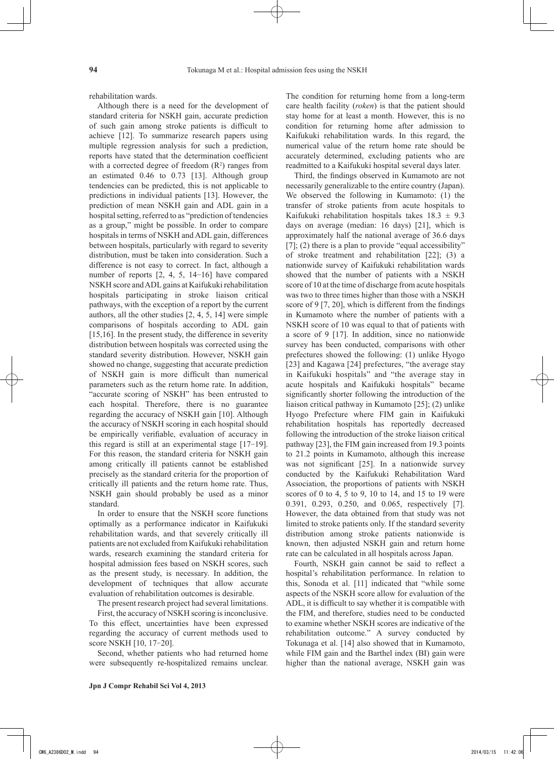rehabilitation wards.

Although there is a need for the development of standard criteria for NSKH gain, accurate prediction of such gain among stroke patients is difficult to achieve [12]. To summarize research papers using multiple regression analysis for such a prediction, reports have stated that the determination coefficient with a corrected degree of freedom  $(R^2)$  ranges from an estimated 0.46 to 0.73 [13]. Although group tendencies can be predicted, this is not applicable to predictions in individual patients [13]. However, the prediction of mean NSKH gain and ADL gain in a hospital setting, referred to as "prediction of tendencies as a group," might be possible. In order to compare hospitals in terms of NSKH and ADL gain, differences between hospitals, particularly with regard to severity distribution, must be taken into consideration. Such a difference is not easy to correct. In fact, although a number of reports [2, 4, 5, 14-16] have compared NSKH score and ADL gains at Kaifukuki rehabilitation hospitals participating in stroke liaison critical pathways, with the exception of a report by the current authors, all the other studies [2, 4, 5, 14] were simple comparisons of hospitals according to ADL gain [15,16]. In the present study, the difference in severity distribution between hospitals was corrected using the standard severity distribution. However, NSKH gain showed no change, suggesting that accurate prediction of NSKH gain is more difficult than numerical parameters such as the return home rate. In addition, "accurate scoring of NSKH" has been entrusted to each hospital. Therefore, there is no guarantee regarding the accuracy of NSKH gain [10]. Although the accuracy of NSKH scoring in each hospital should be empirically verifiable, evaluation of accuracy in this regard is still at an experimental stage [17-19]. For this reason, the standard criteria for NSKH gain among critically ill patients cannot be established precisely as the standard criteria for the proportion of critically ill patients and the return home rate. Thus, NSKH gain should probably be used as a minor standard.

In order to ensure that the NSKH score functions optimally as a performance indicator in Kaifukuki rehabilitation wards, and that severely critically ill patients are not excluded from Kaifukuki rehabilitation wards, research examining the standard criteria for hospital admission fees based on NSKH scores, such as the present study, is necessary. In addition, the development of techniques that allow accurate evaluation of rehabilitation outcomes is desirable.

The present research project had several limitations.

First, the accuracy of NSKH scoring is inconclusive. To this effect, uncertainties have been expressed regarding the accuracy of current methods used to score NSKH [10, 17-20].

Second, whether patients who had returned home were subsequently re-hospitalized remains unclear.

The condition for returning home from a long-term care health facility (*roken*) is that the patient should stay home for at least a month. However, this is no condition for returning home after admission to Kaifukuki rehabilitation wards. In this regard, the numerical value of the return home rate should be accurately determined, excluding patients who are readmitted to a Kaifukuki hospital several days later.

Third, the findings observed in Kumamoto are not necessarily generalizable to the entire country (Japan). We observed the following in Kumamoto: (1) the transfer of stroke patients from acute hospitals to Kaifukuki rehabilitation hospitals takes  $18.3 \pm 9.3$ days on average (median: 16 days) [21], which is approximately half the national average of 36.6 days  $[7]$ ; (2) there is a plan to provide "equal accessibility" of stroke treatment and rehabilitation [22]; (3) a nationwide survey of Kaifukuki rehabilitation wards showed that the number of patients with a NSKH score of 10 at the time of discharge from acute hospitals was two to three times higher than those with a NSKH score of 9 [7, 20], which is different from the findings in Kumamoto where the number of patients with a NSKH score of 10 was equal to that of patients with a score of 9 [17]. In addition, since no nationwide survey has been conducted, comparisons with other prefectures showed the following: (1) unlike Hyogo [23] and Kagawa [24] prefectures, "the average stay in Kaifukuki hospitals" and "the average stay in acute hospitals and Kaifukuki hospitals" became significantly shorter following the introduction of the liaison critical pathway in Kumamoto [25]; (2) unlike Hyogo Prefecture where FIM gain in Kaifukuki rehabilitation hospitals has reportedly decreased following the introduction of the stroke liaison critical pathway [23], the FIM gain increased from 19.3 points to 21.2 points in Kumamoto, although this increase was not significant [25]. In a nationwide survey conducted by the Kaifukuki Rehabilitation Ward Association, the proportions of patients with NSKH scores of 0 to 4, 5 to 9, 10 to 14, and 15 to 19 were 0.391, 0.293, 0.250, and 0.065, respectively [7]. However, the data obtained from that study was not limited to stroke patients only. If the standard severity distribution among stroke patients nationwide is known, then adjusted NSKH gain and return home rate can be calculated in all hospitals across Japan.

Fourth, NSKH gain cannot be said to reflect a hospital's rehabilitation performance. In relation to this, Sonoda et al. [11] indicated that "while some aspects of the NSKH score allow for evaluation of the ADL, it is difficult to say whether it is compatible with the FIM, and therefore, studies need to be conducted to examine whether NSKH scores are indicative of the rehabilitation outcome." A survey conducted by Tokunaga et al. [14] also showed that in Kumamoto, while FIM gain and the Barthel index (BI) gain were higher than the national average, NSKH gain was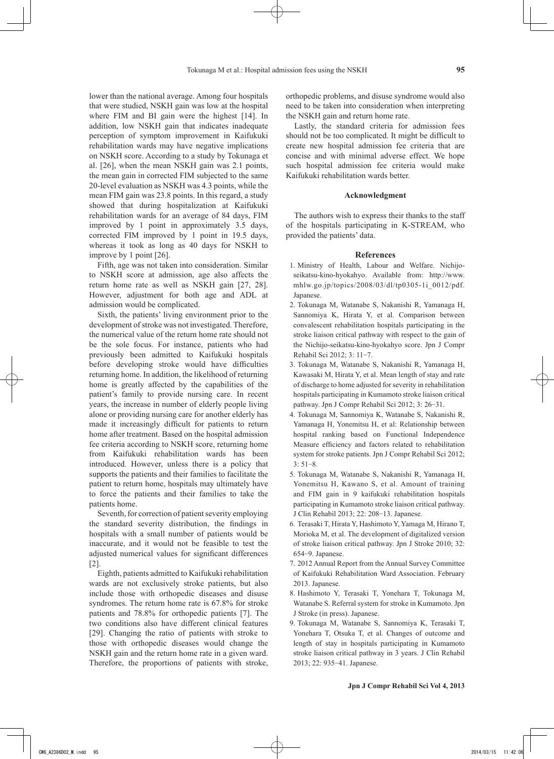lower than the national average. Among four hospitals that were studied, NSKH gain was low at the hospital where FIM and BI gain were the highest [14]. In addition, low NSKH gain that indicates inadequate perception of symptom improvement in Kaifukuki rehabilitation wards may have negative implications on NSKH score. According to a study by Tokunaga et al. [26], when the mean NSKH gain was 2.1 points, the mean gain in corrected FIM subjected to the same 20-level evaluation as NSKH was 4.3 points, while the mean FIM gain was 23.8 points. In this regard, a study showed that during hospitalization at Kaifukuki rehabilitation wards for an average of 84 days, FIM improved by 1 point in approximately 3.5 days, corrected FIM improved by 1 point in 19.5 days, whereas it took as long as 40 days for NSKH to improve by 1 point [26].

Fifth, age was not taken into consideration. Similar to NSKH score at admission, age also affects the return home rate as well as NSKH gain [27, 28]. However, adjustment for both age and ADL at admission would be complicated.

Sixth, the patients' living environment prior to the development of stroke was not investigated. Therefore, the numerical value of the return home rate should not be the sole focus. For instance, patients who had previously been admitted to Kaifukuki hospitals before developing stroke would have difficulties returning home. In addition, the likelihood of returning home is greatly affected by the capabilities of the patient's family to provide nursing care. In recent years, the increase in number of elderly people living alone or providing nursing care for another elderly has made it increasingly difficult for patients to return home after treatment. Based on the hospital admission fee criteria according to NSKH score, returning home from Kaifukuki rehabilitation wards has been introduced. However, unless there is a policy that supports the patients and their families to facilitate the patient to return home, hospitals may ultimately have to force the patients and their families to take the patients home.

Seventh, for correction of patient severity employing the standard severity distribution, the findings in hospitals with a small number of patients would be inaccurate, and it would not be feasible to test the adjusted numerical values for significant differences [2].

Eighth, patients admitted to Kaifukuki rehabilitation wards are not exclusively stroke patients, but also include those with orthopedic diseases and disuse syndromes. The return home rate is 67.8% for stroke patients and 78.8% for orthopedic patients [7]. The two conditions also have different clinical features [29]. Changing the ratio of patients with stroke to those with orthopedic diseases would change the NSKH gain and the return home rate in a given ward. Therefore, the proportions of patients with stroke, orthopedic problems, and disuse syndrome would also need to be taken into consideration when interpreting the NSKH gain and return home rate.

Lastly, the standard criteria for admission fees should not be too complicated. It might be difficult to create new hospital admission fee criteria that are concise and with minimal adverse effect. We hope such hospital admission fee criteria would make Kaifukuki rehabilitation wards better.

### **Acknowledgment**

The authors wish to express their thanks to the staff of the hospitals participating in K-STREAM, who provided the patients' data.

### **References**

- 1. Ministry of Health, Labour and Welfare. Nichijoseikatsu-kino-hyokahyo. Available from: http://www. mhlw.go.jp/topics/2008/03/dl/tp0305-1i\_0012/pdf. Japanese.
- 2. Tokunaga M, Watanabe S, Nakanishi R, Yamanaga H, Sannomiya K, Hirata Y, et al. Comparison between convalescent rehabilitation hospitals participating in the stroke liaison critical pathway with respect to the gain of the Nichijo-seikatsu-kino-hyokahyo score. Jpn J Compr Rehabil Sci 2012; 3: 11-7.
- 3. Tokunaga M, Watanabe S, Nakanishi R, Yamanaga H, Kawasaki M, Hirata Y, et al. Mean length of stay and rate of discharge to home adjusted for severity in rehabilitation hospitals participating in Kumamoto stroke liaison critical pathway. Jpn J Compr Rehabil Sci 2012; 3: 26-31.
- 4. Tokunaga M, Sannomiya K, Watanabe S, Nakanishi R, Yamanaga H, Yonemitsu H, et al: Relationship between hospital ranking based on Functional Independence Measure efficiency and factors related to rehabilitation system for stroke patients. Jpn J Compr Rehabil Sci 2012; 3: 51-8.
- 5. Tokunaga M, Watanabe S, Nakanishi R, Yamanaga H, Yonemitsu H, Kawano S, et al. Amount of training and FIM gain in 9 kaifukuki rehabilitation hospitals participating in Kumamoto stroke liaison critical pathway. J Clin Rehabil 2013; 22: 208-13. Japanese.
- 6. Terasaki T, Hirata Y, Hashimoto Y, Yamaga M, Hirano T, Morioka M, et al. The development of digitalized version of stroke liaison critical pathway. Jpn J Stroke 2010; 32: 654-9. Japanese.
- 7. 2012 Annual Report from the Annual Survey Committee of Kaifukuki Rehabilitation Ward Association. February 2013. Japanese.
- 8. Hashimoto Y, Terasaki T, Yonehara T, Tokunaga M, Watanabe S. Referral system for stroke in Kumamoto. Jpn J Stroke (in press). Japanese.
- 9. Tokunaga M, Watanabe S, Sannomiya K, Terasaki T, Yonehara T, Otsuka T, et al. Changes of outcome and length of stay in hospitals participating in Kumamoto stroke liaison critical pathway in 3 years. J Clin Rehabil 2013; 22: 935-41. Japanese.